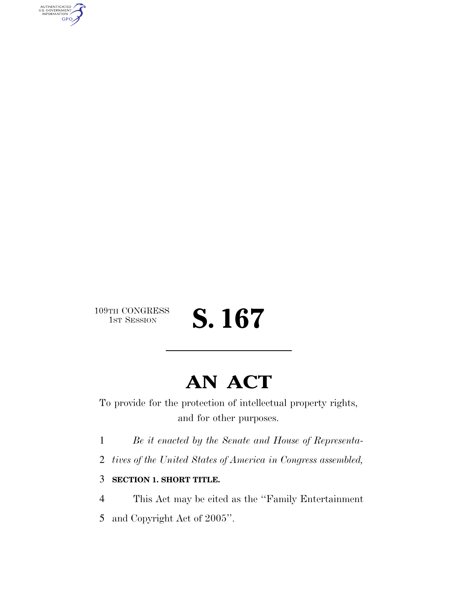AUTHENTICATED<br>U.S. GOVERNMENT<br>INFORMATION **GPO** 

# 109TH CONGRESS<br>1st Session

# **AN ACT**

S. 167

To provide for the protection of intellectual property rights, and for other purposes.

1 *Be it enacted by the Senate and House of Representa-*

2 *tives of the United States of America in Congress assembled,*

### 3 **SECTION 1. SHORT TITLE.**

4 This Act may be cited as the ''Family Entertainment

5 and Copyright Act of 2005''.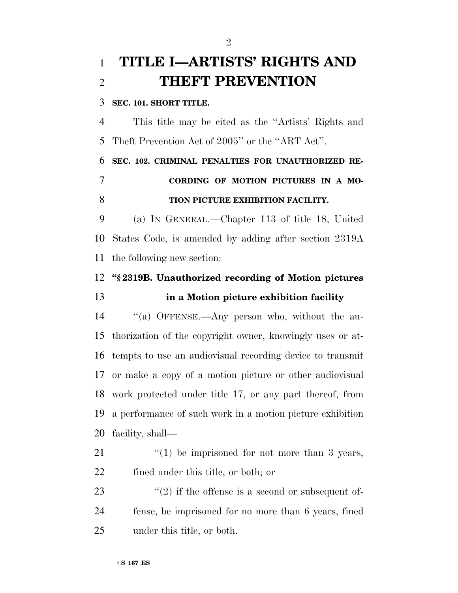# **TITLE I—ARTISTS' RIGHTS AND THEFT PREVENTION**

### **SEC. 101. SHORT TITLE.**

 This title may be cited as the ''Artists' Rights and Theft Prevention Act of 2005'' or the ''ART Act''.

## **SEC. 102. CRIMINAL PENALTIES FOR UNAUTHORIZED RE- CORDING OF MOTION PICTURES IN A MO-TION PICTURE EXHIBITION FACILITY.**

 (a) IN GENERAL.—Chapter 113 of title 18, United States Code, is amended by adding after section 2319A the following new section:

# **''§ 2319B. Unauthorized recording of Motion pictures**

### **in a Motion picture exhibition facility**

 ''(a) OFFENSE.—Any person who, without the au- thorization of the copyright owner, knowingly uses or at- tempts to use an audiovisual recording device to transmit or make a copy of a motion picture or other audiovisual work protected under title 17, or any part thereof, from a performance of such work in a motion picture exhibition facility, shall—

21  $\frac{1}{2}$  (1) be imprisoned for not more than 3 years, fined under this title, or both; or

23  $(2)$  if the offense is a second or subsequent of- fense, be imprisoned for no more than 6 years, fined under this title, or both.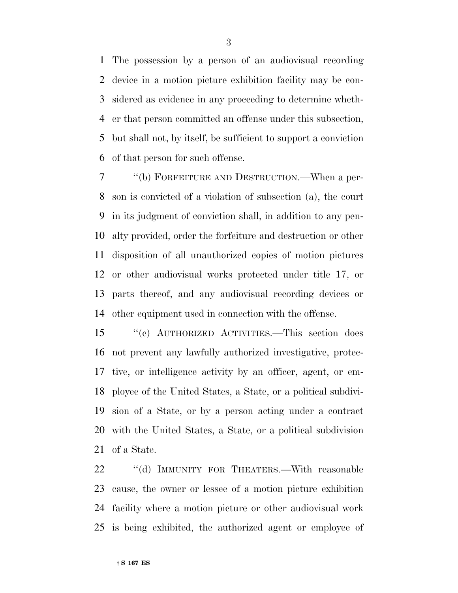The possession by a person of an audiovisual recording device in a motion picture exhibition facility may be con- sidered as evidence in any proceeding to determine wheth- er that person committed an offense under this subsection, but shall not, by itself, be sufficient to support a conviction of that person for such offense.

 ''(b) FORFEITURE AND DESTRUCTION.—When a per- son is convicted of a violation of subsection (a), the court in its judgment of conviction shall, in addition to any pen- alty provided, order the forfeiture and destruction or other disposition of all unauthorized copies of motion pictures or other audiovisual works protected under title 17, or parts thereof, and any audiovisual recording devices or other equipment used in connection with the offense.

 ''(c) AUTHORIZED ACTIVITIES.—This section does not prevent any lawfully authorized investigative, protec- tive, or intelligence activity by an officer, agent, or em- ployee of the United States, a State, or a political subdivi- sion of a State, or by a person acting under a contract with the United States, a State, or a political subdivision of a State.

22 ""(d) IMMUNITY FOR THEATERS.—With reasonable cause, the owner or lessee of a motion picture exhibition facility where a motion picture or other audiovisual work is being exhibited, the authorized agent or employee of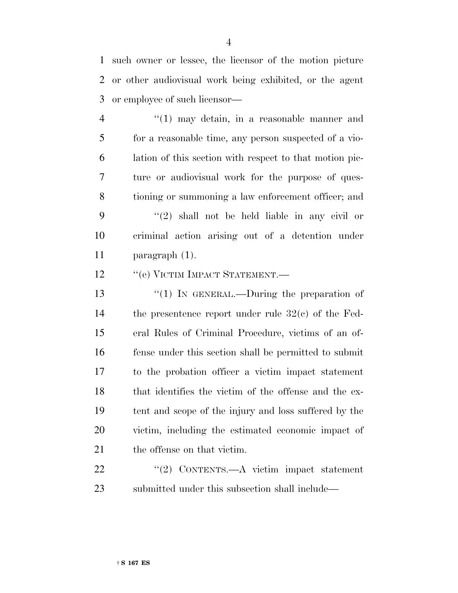such owner or lessee, the licensor of the motion picture or other audiovisual work being exhibited, or the agent or employee of such licensor—

 ''(1) may detain, in a reasonable manner and for a reasonable time, any person suspected of a vio- lation of this section with respect to that motion pic- ture or audiovisual work for the purpose of ques- tioning or summoning a law enforcement officer; and ''(2) shall not be held liable in any civil or criminal action arising out of a detention under paragraph (1).

12 "(e) VICTIM IMPACT STATEMENT.—

 ''(1) IN GENERAL.—During the preparation of the presentence report under rule 32(c) of the Fed- eral Rules of Criminal Procedure, victims of an of- fense under this section shall be permitted to submit to the probation officer a victim impact statement that identifies the victim of the offense and the ex- tent and scope of the injury and loss suffered by the victim, including the estimated economic impact of 21 the offense on that victim.

22 "(2) CONTENTS.—A victim impact statement submitted under this subsection shall include—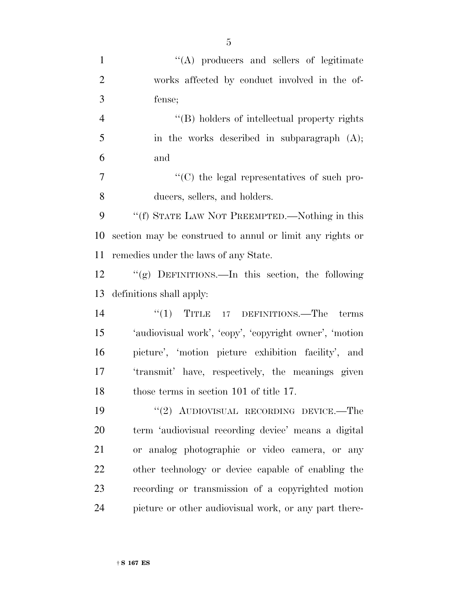| $\mathbf{1}$   | "(A) producers and sellers of legitimate                 |
|----------------|----------------------------------------------------------|
| $\overline{2}$ | works affected by conduct involved in the of-            |
| 3              | fense;                                                   |
| $\overline{4}$ | "(B) holders of intellectual property rights             |
| 5              | in the works described in subparagraph $(A)$ ;           |
| 6              | and                                                      |
| $\tau$         | "(C) the legal representatives of such pro-              |
| 8              | ducers, sellers, and holders.                            |
| 9              | "(f) STATE LAW NOT PREEMPTED.—Nothing in this            |
| 10             | section may be construed to annul or limit any rights or |
| 11             | remedies under the laws of any State.                    |
| 12             | "(g) DEFINITIONS.—In this section, the following         |
| 13             | definitions shall apply:                                 |
| 14             | $"(1)$ TITLE 17 DEFINITIONS.—The terms                   |
| 15             | 'audiovisual work', 'copy', 'copyright owner', 'motion   |
| 16             | picture', 'motion picture exhibition facility', and      |
| 17             | 'transmit' have, respectively, the meanings given        |
| 18             | those terms in section 101 of title 17.                  |
| 19             | "(2) AUDIOVISUAL RECORDING DEVICE.—The                   |
| 20             | term 'audiovisual recording device' means a digital      |
| 21             | or analog photographic or video camera, or any           |
| 22             | other technology or device capable of enabling the       |
| 23             | recording or transmission of a copyrighted motion        |
| 24             | picture or other audiovisual work, or any part there-    |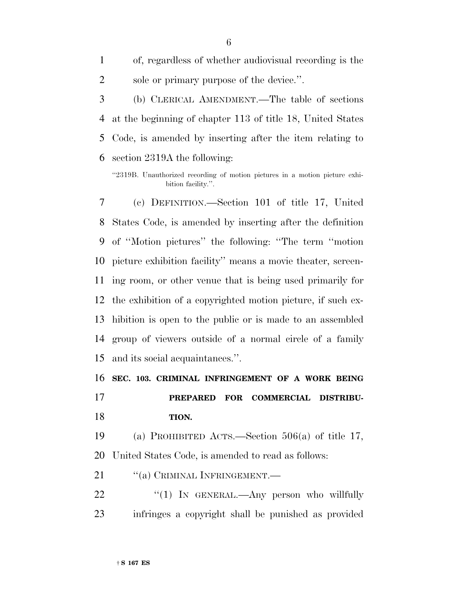of, regardless of whether audiovisual recording is the 2 sole or primary purpose of the device.".

 (b) CLERICAL AMENDMENT.—The table of sections at the beginning of chapter 113 of title 18, United States Code, is amended by inserting after the item relating to section 2319A the following:

''2319B. Unauthorized recording of motion pictures in a motion picture exhibition facility.''.

 (c) DEFINITION.—Section 101 of title 17, United States Code, is amended by inserting after the definition of ''Motion pictures'' the following: ''The term ''motion picture exhibition facility'' means a movie theater, screen- ing room, or other venue that is being used primarily for the exhibition of a copyrighted motion picture, if such ex- hibition is open to the public or is made to an assembled group of viewers outside of a normal circle of a family and its social acquaintances.''.

**SEC. 103. CRIMINAL INFRINGEMENT OF A WORK BEING**

 **PREPARED FOR COMMERCIAL DISTRIBU-TION.**

 (a) PROHIBITED ACTS.—Section 506(a) of title 17, United States Code, is amended to read as follows:

21 "(a) CRIMINAL INFRINGEMENT.—

22 "(1) In GENERAL.—Any person who willfully infringes a copyright shall be punished as provided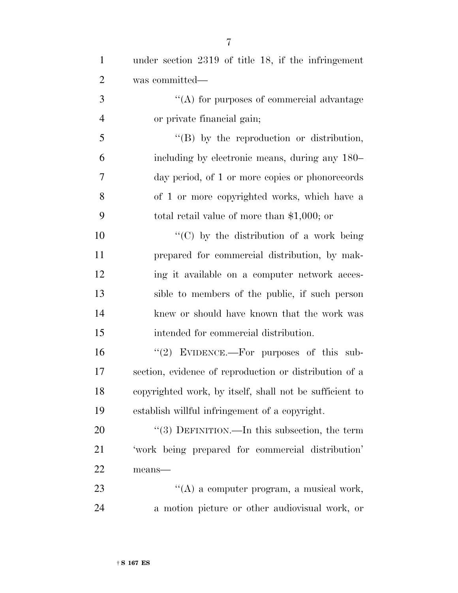| $\mathbf{1}$   | under section 2319 of title 18, if the infringement     |
|----------------|---------------------------------------------------------|
| $\overline{2}$ | was committed—                                          |
| 3              | "(A) for purposes of commercial advantage               |
| $\overline{4}$ | or private financial gain;                              |
| 5              | $\lq\lq (B)$ by the reproduction or distribution,       |
| 6              | including by electronic means, during any 180–          |
| 7              | day period, of 1 or more copies or phonorecords         |
| 8              | of 1 or more copyrighted works, which have a            |
| 9              | total retail value of more than $$1,000$ ; or           |
| 10             | "(C) by the distribution of a work being                |
| 11             | prepared for commercial distribution, by mak-           |
| 12             | ing it available on a computer network acces-           |
| 13             | sible to members of the public, if such person          |
| 14             | knew or should have known that the work was             |
| 15             | intended for commercial distribution.                   |
| 16             | "(2) EVIDENCE.—For purposes of this sub-                |
| 17             | section, evidence of reproduction or distribution of a  |
| 18             | copyrighted work, by itself, shall not be sufficient to |
| 19             | establish willful infringement of a copyright.          |
| 20             | "(3) DEFINITION.—In this subsection, the term           |
| 21             | 'work being prepared for commercial distribution'       |
| 22             | means-                                                  |
| 23             | $\lq\lq$ a computer program, a musical work,            |
| 24             | a motion picture or other audiovisual work, or          |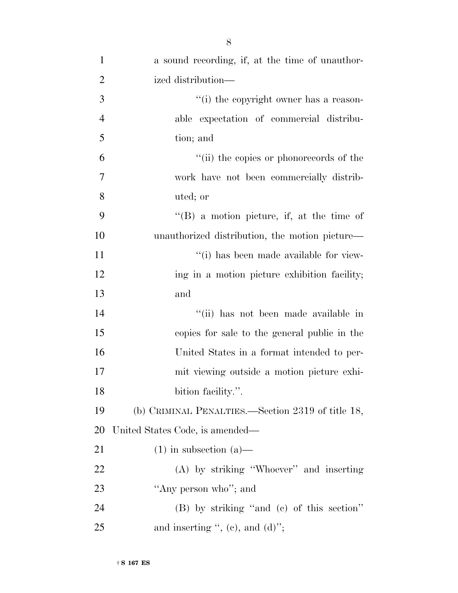| $\mathbf{1}$   | a sound recording, if, at the time of unauthor-   |
|----------------|---------------------------------------------------|
| $\overline{2}$ | ized distribution—                                |
| 3              | "(i) the copyright owner has a reason-            |
| $\overline{4}$ | able expectation of commercial distribu-          |
| 5              | tion; and                                         |
| 6              | "(ii) the copies or phonorecords of the           |
| 7              | work have not been commercially distrib-          |
| 8              | uted; or                                          |
| 9              | $\lq\lq (B)$ a motion picture, if, at the time of |
| 10             | unauthorized distribution, the motion picture—    |
| 11             | "(i) has been made available for view-            |
| 12             | ing in a motion picture exhibition facility;      |
| 13             | and                                               |
| 14             | "(ii) has not been made available in              |
| 15             | copies for sale to the general public in the      |
| 16             | United States in a format intended to per-        |
| 17             | mit viewing outside a motion picture exhi-        |
| 18             | bition facility.".                                |
| 19             | (b) CRIMINAL PENALTIES.—Section 2319 of title 18, |
| <b>20</b>      | United States Code, is amended—                   |
| 21             | $(1)$ in subsection $(a)$ —                       |
| <u>22</u>      | (A) by striking "Whoever" and inserting           |
| 23             | "Any person who"; and                             |
| 24             | (B) by striking "and (c) of this section"         |
| 25             | and inserting ", (c), and $(d)$ ";                |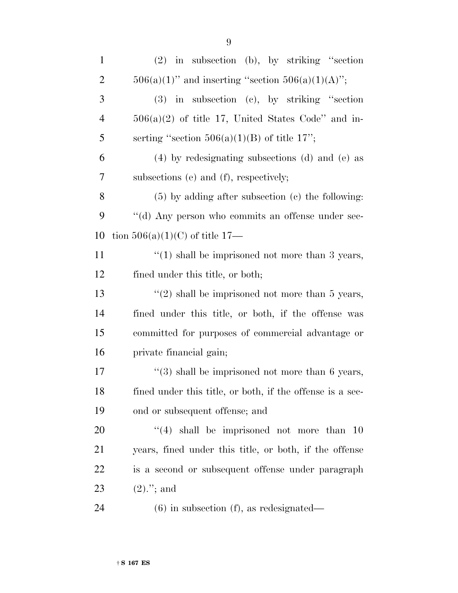| $\mathbf{1}$   | $(2)$ in subsection (b), by striking "section               |
|----------------|-------------------------------------------------------------|
| $\overline{2}$ | $506(a)(1)$ " and inserting "section $506(a)(1)(A)$ ";      |
| 3              | $(3)$ in subsection $(e)$ , by striking "section            |
| $\overline{4}$ | $506(a)(2)$ of title 17, United States Code" and in-        |
| 5              | serting "section $506(a)(1)(B)$ of title 17";               |
| 6              | $(4)$ by redesignating subsections (d) and (e) as           |
| 7              | subsections (e) and (f), respectively;                      |
| 8              | $(5)$ by adding after subsection $(c)$ the following:       |
| 9              | "(d) Any person who commits an offense under sec-           |
| 10             | tion $506(a)(1)(C)$ of title 17—                            |
| 11             | $\lq(1)$ shall be imprisoned not more than 3 years,         |
| 12             | fined under this title, or both;                            |
| 13             | "(2) shall be imprisoned not more than $5$ years,           |
| 14             | fined under this title, or both, if the offense was         |
| 15             | committed for purposes of commercial advantage or           |
| 16             | private financial gain;                                     |
| 17             | $\cdot\cdot$ (3) shall be imprisoned not more than 6 years, |
| 18             | fined under this title, or both, if the offense is a sec-   |
| 19             | ond or subsequent offense; and                              |
| <b>20</b>      | $(4)$ shall be imprisoned not more than 10                  |
| 21             | years, fined under this title, or both, if the offense      |
| 22             | is a second or subsequent offense under paragraph           |
| 23             | $(2).$ "; and                                               |
| 24             | $(6)$ in subsection $(f)$ , as redesignated—                |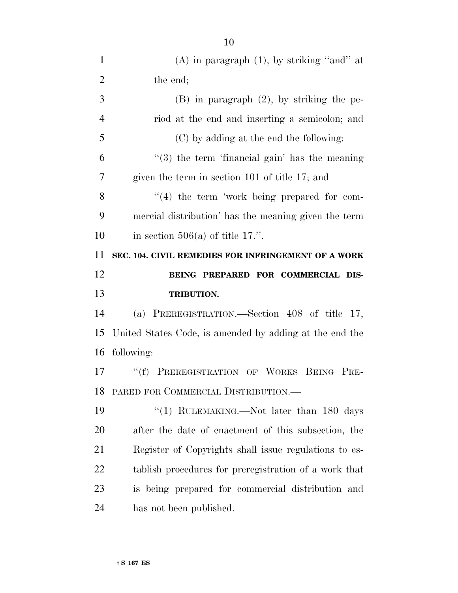| $\mathbf{1}$   | (A) in paragraph $(1)$ , by striking "and" at           |
|----------------|---------------------------------------------------------|
| $\overline{2}$ | the end;                                                |
| 3              | $(B)$ in paragraph $(2)$ , by striking the pe-          |
| $\overline{4}$ | riod at the end and inserting a semicolon; and          |
| 5              | (C) by adding at the end the following:                 |
| 6              | $(3)$ the term 'financial gain' has the meaning         |
| 7              | given the term in section 101 of title 17; and          |
| 8              | "(4) the term 'work being prepared for com-             |
| 9              | mercial distribution' has the meaning given the term    |
| 10             | in section $506(a)$ of title 17.".                      |
| 11             | SEC. 104. CIVIL REMEDIES FOR INFRINGEMENT OF A WORK     |
| 12             | BEING PREPARED FOR COMMERCIAL DIS-                      |
|                |                                                         |
| 13             | <b>TRIBUTION.</b>                                       |
|                | (a) PREREGISTRATION.—Section 408 of title 17,           |
|                | United States Code, is amended by adding at the end the |
| 14<br>15<br>16 | following:                                              |
| 17             | "(f) PREREGISTRATION OF WORKS BEING PRE-                |
| 18             | PARED FOR COMMERCIAL DISTRIBUTION.—                     |
| 19             | "(1) RULEMAKING.—Not later than 180 days                |
| 20             | after the date of enactment of this subsection, the     |
| 21             | Register of Copyrights shall issue regulations to es-   |
| 22             | tablish procedures for preregistration of a work that   |
| 23             | is being prepared for commercial distribution and       |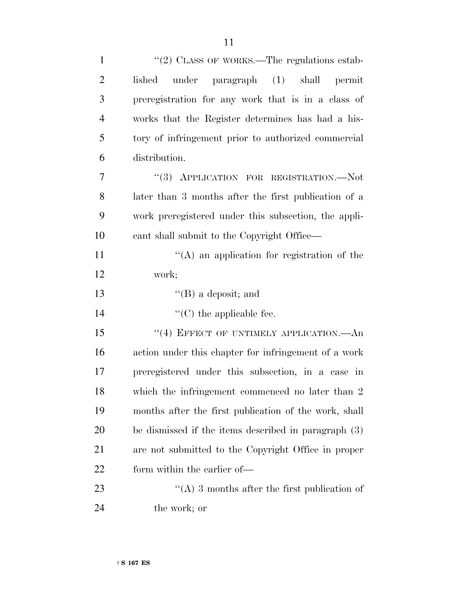| $\mathbf{1}$   | "(2) CLASS OF WORKS.—The regulations estab-           |
|----------------|-------------------------------------------------------|
| $\overline{2}$ | under paragraph (1) shall permit<br>lished            |
| 3              | preregistration for any work that is in a class of    |
| $\overline{4}$ | works that the Register determines has had a his-     |
| 5              | tory of infringement prior to authorized commercial   |
| 6              | distribution.                                         |
| $\tau$         | "(3) APPLICATION FOR REGISTRATION.-Not                |
| 8              | later than 3 months after the first publication of a  |
| 9              | work preregistered under this subsection, the appli-  |
| 10             | cant shall submit to the Copyright Office—            |
| 11             | "(A) an application for registration of the           |
| 12             | work;                                                 |
| 13             | $\lq\lq$ (B) a deposit; and                           |
| 14             | $\lq\lq$ (C) the applicable fee.                      |
| 15             | "(4) EFFECT OF UNTIMELY APPLICATION.—An               |
| 16             | action under this chapter for infringement of a work  |
| 17             | preregistered under this subsection, in a case in     |
| 18             | which the infringement commenced no later than 2      |
| 19             | months after the first publication of the work, shall |
| 20             | be dismissed if the items described in paragraph (3)  |
| 21             | are not submitted to the Copyright Office in proper   |
| 22             | form within the earlier of—                           |
| 23             | "(A) 3 months after the first publication of          |
| 24             | the work; or                                          |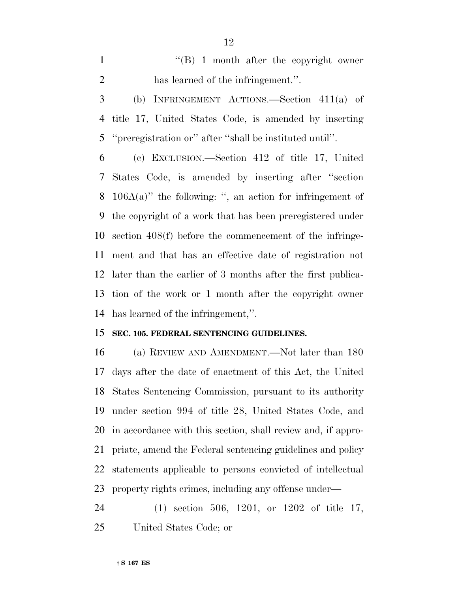1 ''(B) 1 month after the copyright owner has learned of the infringement.''.

 (b) INFRINGEMENT ACTIONS.—Section 411(a) of title 17, United States Code, is amended by inserting ''preregistration or'' after ''shall be instituted until''.

 (c) EXCLUSION.—Section 412 of title 17, United States Code, is amended by inserting after ''section 106A(a)'' the following: '', an action for infringement of the copyright of a work that has been preregistered under section 408(f) before the commencement of the infringe- ment and that has an effective date of registration not later than the earlier of 3 months after the first publica- tion of the work or 1 month after the copyright owner has learned of the infringement,''.

### **SEC. 105. FEDERAL SENTENCING GUIDELINES.**

 (a) REVIEW AND AMENDMENT.—Not later than 180 days after the date of enactment of this Act, the United States Sentencing Commission, pursuant to its authority under section 994 of title 28, United States Code, and in accordance with this section, shall review and, if appro- priate, amend the Federal sentencing guidelines and policy statements applicable to persons convicted of intellectual property rights crimes, including any offense under—

 (1) section 506, 1201, or 1202 of title 17, United States Code; or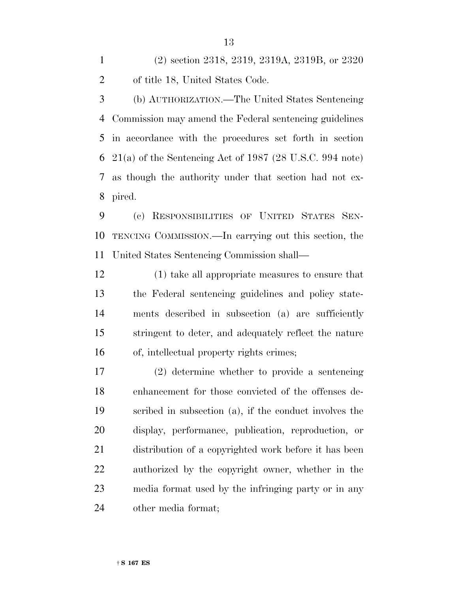(2) section 2318, 2319, 2319A, 2319B, or 2320 of title 18, United States Code.

 (b) AUTHORIZATION.—The United States Sentencing Commission may amend the Federal sentencing guidelines in accordance with the procedures set forth in section 21(a) of the Sentencing Act of 1987 (28 U.S.C. 994 note) as though the authority under that section had not ex-pired.

 (c) RESPONSIBILITIES OF UNITED STATES SEN- TENCING COMMISSION.—In carrying out this section, the United States Sentencing Commission shall—

 (1) take all appropriate measures to ensure that the Federal sentencing guidelines and policy state- ments described in subsection (a) are sufficiently stringent to deter, and adequately reflect the nature of, intellectual property rights crimes;

 (2) determine whether to provide a sentencing enhancement for those convicted of the offenses de- scribed in subsection (a), if the conduct involves the display, performance, publication, reproduction, or distribution of a copyrighted work before it has been authorized by the copyright owner, whether in the media format used by the infringing party or in any other media format;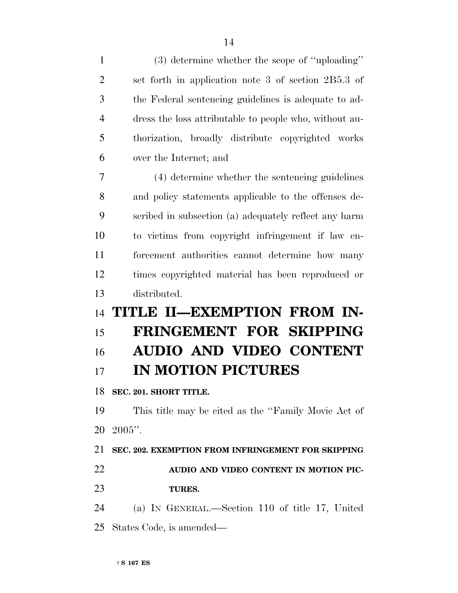| $\mathbf{1}$   | $(3)$ determine whether the scope of "uploading"       |
|----------------|--------------------------------------------------------|
| $\overline{2}$ | set forth in application note 3 of section 2B5.3 of    |
| 3              | the Federal sentencing guidelines is adequate to ad-   |
| 4              | dress the loss attributable to people who, without au- |
| 5              | thorization, broadly distribute copyrighted works      |
| 6              | over the Internet; and                                 |
| 7              | (4) determine whether the sentencing guidelines        |
| 8              | and policy statements applicable to the offenses de-   |
| 9              | scribed in subsection (a) adequately reflect any harm  |
| 10             | to victims from copyright infringement if law en-      |
| 11             | forcement authorities cannot determine how many        |
| 12             | times copyrighted material has been reproduced or      |
|                |                                                        |
| 13             | distributed.                                           |
| 14             | TITLE II-EXEMPTION FROM IN-                            |
| 15             | FRINGEMENT FOR SKIPPING                                |
| 16             | <b>AUDIO AND VIDEO CONTENT</b>                         |
| 17             | <b>IN MOTION PICTURES</b>                              |
|                | 18 SEC. 201. SHORT TITLE.                              |
| 19             | This title may be cited as the "Family Movie Act of    |
| 20             | $2005$ ".                                              |
| 21             | SEC. 202. EXEMPTION FROM INFRINGEMENT FOR SKIPPING     |
| 22             | AUDIO AND VIDEO CONTENT IN MOTION PIC-                 |
| 23             | <b>TURES.</b>                                          |
| 24             | (a) IN GENERAL.—Section 110 of title 17, United        |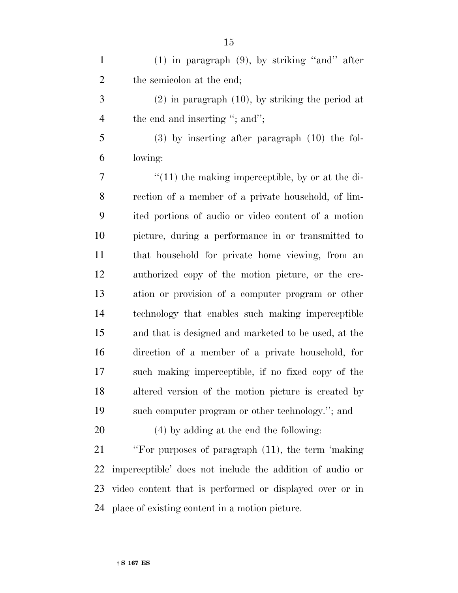| $\mathbf{1}$   | $(1)$ in paragraph $(9)$ , by striking "and" after       |
|----------------|----------------------------------------------------------|
| $\overline{2}$ | the semicolon at the end;                                |
| 3              | $(2)$ in paragraph $(10)$ , by striking the period at    |
| $\overline{4}$ | the end and inserting "; and";                           |
| 5              | $(3)$ by inserting after paragraph $(10)$ the fol-       |
| 6              | lowing:                                                  |
| 7              | $"(11)$ the making imperceptible, by or at the di-       |
| 8              | rection of a member of a private household, of lim-      |
| 9              | ited portions of audio or video content of a motion      |
| 10             | picture, during a performance in or transmitted to       |
| 11             | that household for private home viewing, from an         |
| 12             | authorized copy of the motion picture, or the cre-       |
| 13             | ation or provision of a computer program or other        |
| 14             | technology that enables such making imperceptible        |
| 15             | and that is designed and marketed to be used, at the     |
| 16             | direction of a member of a private household, for        |
| 17             | such making imperceptible, if no fixed copy of the       |
| 18             | altered version of the motion picture is created by      |
| 19             | such computer program or other technology."; and         |
| 20             | (4) by adding at the end the following:                  |
| 21             | "For purposes of paragraph (11), the term 'making        |
| 22             | imperceptible' does not include the addition of audio or |
| 23             | video content that is performed or displayed over or in  |

place of existing content in a motion picture.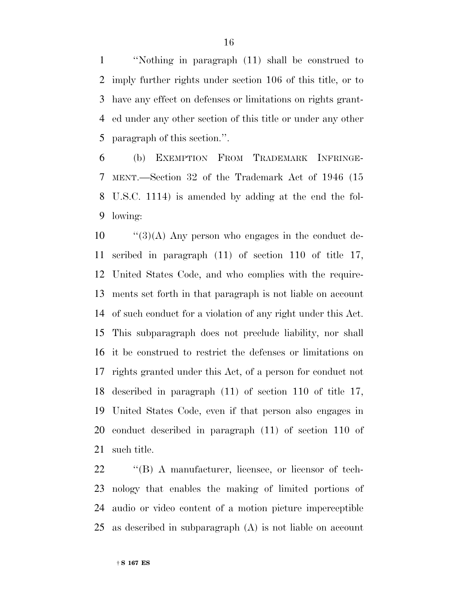''Nothing in paragraph (11) shall be construed to imply further rights under section 106 of this title, or to have any effect on defenses or limitations on rights grant- ed under any other section of this title or under any other paragraph of this section.''.

 (b) EXEMPTION FROM TRADEMARK INFRINGE- MENT.—Section 32 of the Trademark Act of 1946 (15 U.S.C. 1114) is amended by adding at the end the fol-lowing:

 ''(3)(A) Any person who engages in the conduct de- scribed in paragraph (11) of section 110 of title 17, United States Code, and who complies with the require- ments set forth in that paragraph is not liable on account of such conduct for a violation of any right under this Act. This subparagraph does not preclude liability, nor shall it be construed to restrict the defenses or limitations on rights granted under this Act, of a person for conduct not described in paragraph (11) of section 110 of title 17, United States Code, even if that person also engages in conduct described in paragraph (11) of section 110 of such title.

 ''(B) A manufacturer, licensee, or licensor of tech- nology that enables the making of limited portions of audio or video content of a motion picture imperceptible as described in subparagraph (A) is not liable on account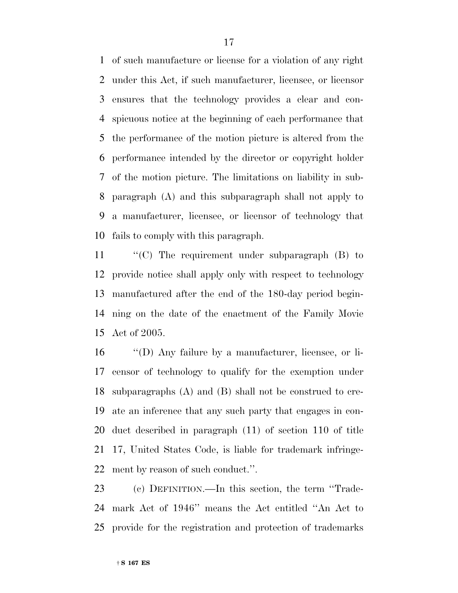of such manufacture or license for a violation of any right under this Act, if such manufacturer, licensee, or licensor ensures that the technology provides a clear and con- spicuous notice at the beginning of each performance that the performance of the motion picture is altered from the performance intended by the director or copyright holder of the motion picture. The limitations on liability in sub- paragraph (A) and this subparagraph shall not apply to a manufacturer, licensee, or licensor of technology that fails to comply with this paragraph.

 ''(C) The requirement under subparagraph (B) to provide notice shall apply only with respect to technology manufactured after the end of the 180-day period begin- ning on the date of the enactment of the Family Movie Act of 2005.

 ''(D) Any failure by a manufacturer, licensee, or li- censor of technology to qualify for the exemption under subparagraphs (A) and (B) shall not be construed to cre- ate an inference that any such party that engages in con- duct described in paragraph (11) of section 110 of title 17, United States Code, is liable for trademark infringe-ment by reason of such conduct.''.

 (c) DEFINITION.—In this section, the term ''Trade- mark Act of 1946'' means the Act entitled ''An Act to provide for the registration and protection of trademarks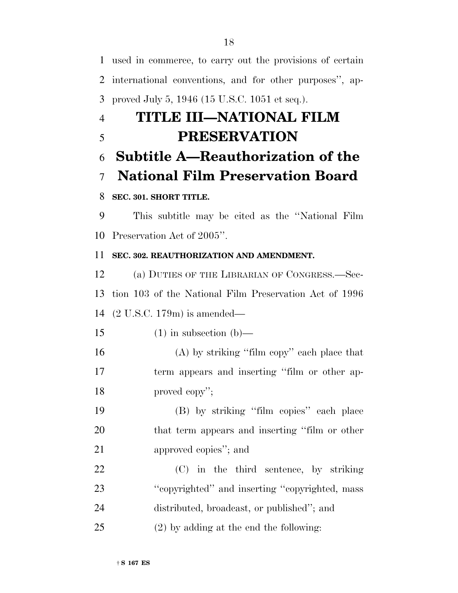used in commerce, to carry out the provisions of certain international conventions, and for other purposes'', ap- proved July 5, 1946 (15 U.S.C. 1051 et seq.). **TITLE III—NATIONAL FILM PRESERVATION Subtitle A—Reauthorization of the National Film Preservation Board SEC. 301. SHORT TITLE.** This subtitle may be cited as the ''National Film Preservation Act of 2005''. **SEC. 302. REAUTHORIZATION AND AMENDMENT.** (a) DUTIES OF THE LIBRARIAN OF CONGRESS.—Sec-

 tion 103 of the National Film Preservation Act of 1996 (2 U.S.C. 179m) is amended—

15 (1) in subsection (b)—

 (A) by striking ''film copy'' each place that term appears and inserting ''film or other ap-proved copy'';

 (B) by striking ''film copies'' each place that term appears and inserting ''film or other approved copies''; and

 (C) in the third sentence, by striking ''copyrighted'' and inserting ''copyrighted, mass distributed, broadcast, or published''; and

(2) by adding at the end the following: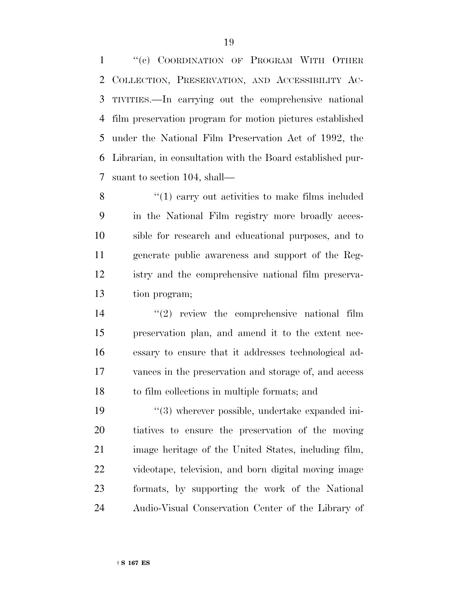''(c) COORDINATION OF PROGRAM WITH OTHER COLLECTION, PRESERVATION, AND ACCESSIBILITY AC- TIVITIES.—In carrying out the comprehensive national film preservation program for motion pictures established under the National Film Preservation Act of 1992, the Librarian, in consultation with the Board established pur-suant to section 104, shall—

8 "(1) carry out activities to make films included in the National Film registry more broadly acces- sible for research and educational purposes, and to generate public awareness and support of the Reg- istry and the comprehensive national film preserva-tion program;

 $(2)$  review the comprehensive national film preservation plan, and amend it to the extent nec- essary to ensure that it addresses technological ad- vances in the preservation and storage of, and access to film collections in multiple formats; and

 $(3)$  wherever possible, undertake expanded ini- tiatives to ensure the preservation of the moving image heritage of the United States, including film, videotape, television, and born digital moving image formats, by supporting the work of the National Audio-Visual Conservation Center of the Library of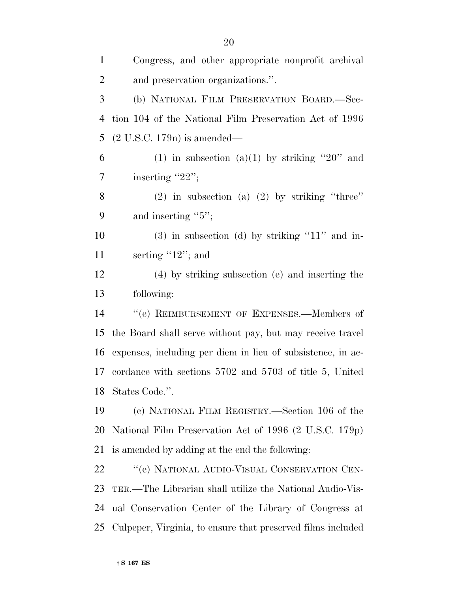| $\mathbf{1}$   | Congress, and other appropriate nonprofit archival          |
|----------------|-------------------------------------------------------------|
| $\overline{2}$ | and preservation organizations.".                           |
| 3              | (b) NATIONAL FILM PRESERVATION BOARD.-Sec-                  |
| $\overline{4}$ | tion 104 of the National Film Preservation Act of 1996      |
| 5              | $(2 U.S.C. 179n)$ is amended—                               |
| 6              | (1) in subsection (a)(1) by striking "20" and               |
| 7              | inserting "22";                                             |
| 8              | $(2)$ in subsection $(a)$ $(2)$ by striking "three"         |
| 9              | and inserting " $5$ ";                                      |
| 10             | $(3)$ in subsection $(d)$ by striking "11" and in-          |
| 11             | serting $"12"$ ; and                                        |
| 12             | (4) by striking subsection (e) and inserting the            |
| 13             | following:                                                  |
| 14             | "(e) REIMBURSEMENT OF EXPENSES.—Members of                  |
| 15             | the Board shall serve without pay, but may receive travel   |
| 16             | expenses, including per diem in lieu of subsistence, in ac- |
| 17             | cordance with sections 5702 and 5703 of title 5, United     |
|                | 18 States Code.".                                           |
| 19             | (c) NATIONAL FILM REGISTRY.—Section 106 of the              |
| 20             | National Film Preservation Act of 1996 (2 U.S.C. 179p)      |
| 21             | is amended by adding at the end the following:              |
| 22             | "(e) NATIONAL AUDIO-VISUAL CONSERVATION CEN-                |
| 23             | TER.—The Librarian shall utilize the National Audio-Vis-    |
| 24             | ual Conservation Center of the Library of Congress at       |
| 25             | Culpeper, Virginia, to ensure that preserved films included |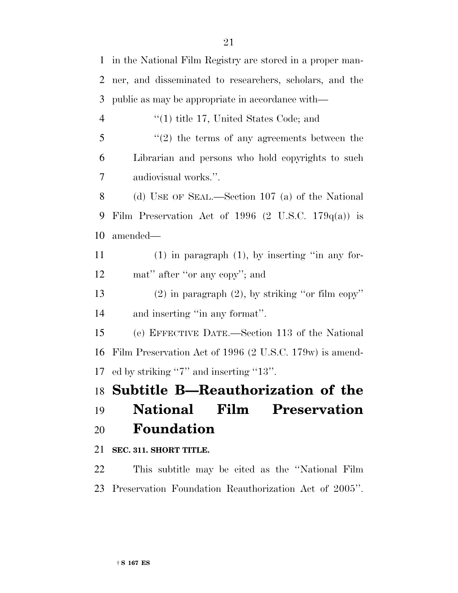in the National Film Registry are stored in a proper man- ner, and disseminated to researchers, scholars, and the public as may be appropriate in accordance with—  $(1)$  title 17, United States Code; and ''(2) the terms of any agreements between the Librarian and persons who hold copyrights to such audiovisual works.''. (d) USE OF SEAL.—Section 107 (a) of the National Film Preservation Act of 1996 (2 U.S.C. 179q(a)) is amended— (1) in paragraph (1), by inserting ''in any for-12 mat" after "or any copy"; and (2) in paragraph (2), by striking ''or film copy'' and inserting ''in any format''. (e) EFFECTIVE DATE.—Section 113 of the National Film Preservation Act of 1996 (2 U.S.C. 179w) is amend- ed by striking ''7'' and inserting ''13''. **Subtitle B—Reauthorization of the National Film Preservation Foundation SEC. 311. SHORT TITLE.** This subtitle may be cited as the ''National Film

Preservation Foundation Reauthorization Act of 2005''.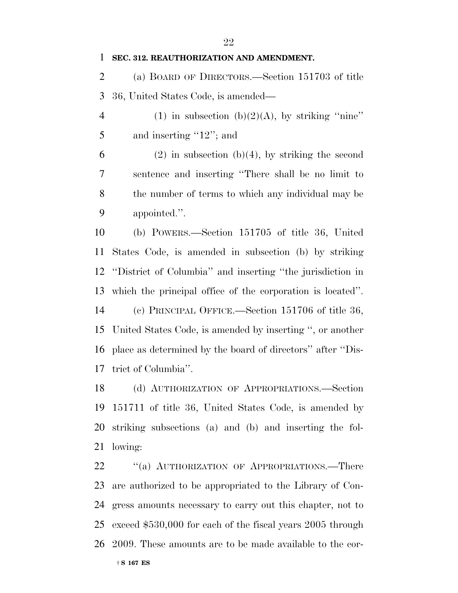(a) BOARD OF DIRECTORS.—Section 151703 of title 36, United States Code, is amended—

4 (1) in subsection (b)(2)(A), by striking "nine" 5 and inserting "12"; and

6 (2) in subsection (b)(4), by striking the second sentence and inserting ''There shall be no limit to the number of terms to which any individual may be appointed.''.

 (b) POWERS.—Section 151705 of title 36, United States Code, is amended in subsection (b) by striking ''District of Columbia'' and inserting ''the jurisdiction in which the principal office of the corporation is located''. (c) PRINCIPAL OFFICE.—Section 151706 of title 36, United States Code, is amended by inserting '', or another place as determined by the board of directors'' after ''Dis-trict of Columbia''.

 (d) AUTHORIZATION OF APPROPRIATIONS.—Section 151711 of title 36, United States Code, is amended by striking subsections (a) and (b) and inserting the fol-lowing:

22 "(a) AUTHORIZATION OF APPROPRIATIONS.—There are authorized to be appropriated to the Library of Con- gress amounts necessary to carry out this chapter, not to exceed \$530,000 for each of the fiscal years 2005 through 2009. These amounts are to be made available to the cor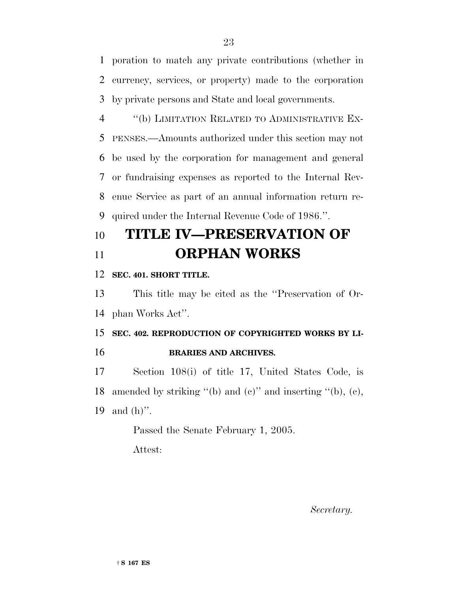poration to match any private contributions (whether in currency, services, or property) made to the corporation by private persons and State and local governments.

 ''(b) LIMITATION RELATED TO ADMINISTRATIVE EX- PENSES.—Amounts authorized under this section may not be used by the corporation for management and general or fundraising expenses as reported to the Internal Rev- enue Service as part of an annual information return re-quired under the Internal Revenue Code of 1986.''.

# **TITLE IV—PRESERVATION OF ORPHAN WORKS**

### **SEC. 401. SHORT TITLE.**

 This title may be cited as the ''Preservation of Or-phan Works Act''.

## **SEC. 402. REPRODUCTION OF COPYRIGHTED WORKS BY LI-BRARIES AND ARCHIVES.**

 Section 108(i) of title 17, United States Code, is 18 amended by striking "(b) and  $(e)$ " and inserting "(b),  $(e)$ , and (h)''.

Passed the Senate February 1, 2005.

Attest:

*Secretary.*